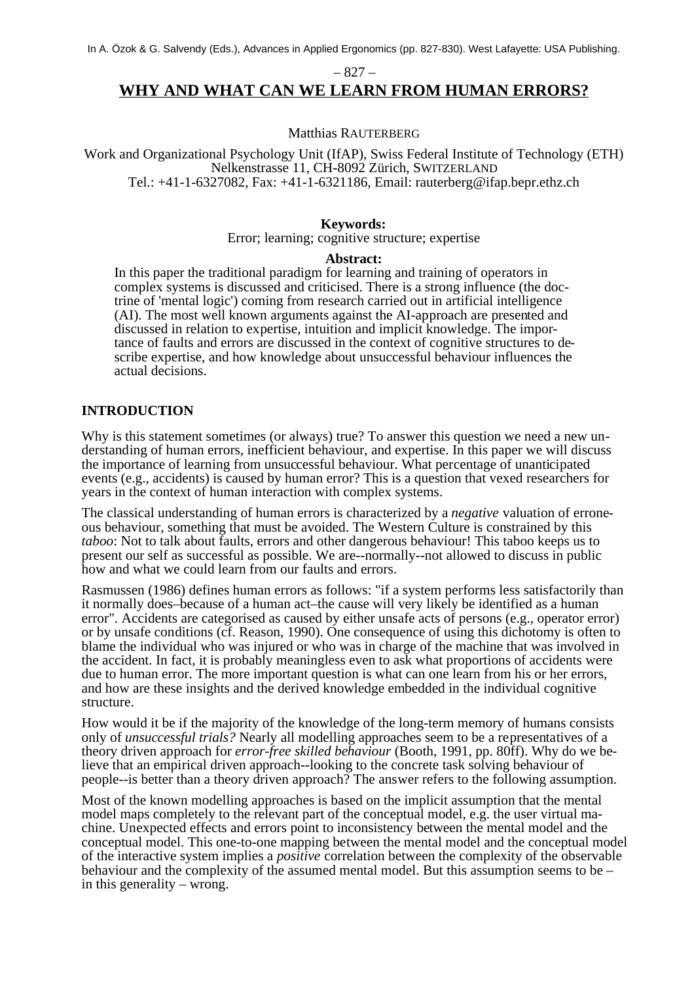#### – 827 –

# **WHY AND WHAT CAN WE LEARN FROM HUMAN ERRORS?**

#### Matthias RAUTERBERG

Work and Organizational Psychology Unit (IfAP), Swiss Federal Institute of Technology (ETH) Nelkenstrasse 11, CH-8092 Zürich, SWITZERLAND Tel.: +41-1-6327082, Fax: +41-1-6321186, Email: rauterberg@ifap.bepr.ethz.ch

### **Keywords:**

Error; learning; cognitive structure; expertise

#### **Abstract:**

In this paper the traditional paradigm for learning and training of operators in complex systems is discussed and criticised. There is a strong influence (the doctrine of 'mental logic') coming from research carried out in artificial intelligence (AI). The most well known arguments against the AI-approach are presented and discussed in relation to expertise, intuition and implicit knowledge. The importance of faults and errors are discussed in the context of cognitive structures to describe expertise, and how knowledge about unsuccessful behaviour influences the actual decisions.

## **INTRODUCTION**

Why is this statement sometimes (or always) true? To answer this question we need a new understanding of human errors, inefficient behaviour, and expertise. In this paper we will discuss the importance of learning from unsuccessful behaviour. What percentage of unanticipated events (e.g., accidents) is caused by human error? This is a question that vexed researchers for years in the context of human interaction with complex systems.

The classical understanding of human errors is characterized by a *negative* valuation of erroneous behaviour, something that must be avoided. The Western Culture is constrained by this *taboo*: Not to talk about faults, errors and other dangerous behaviour! This taboo keeps us to present our self as successful as possible. We are--normally--not allowed to discuss in public how and what we could learn from our faults and errors.

Rasmussen (1986) defines human errors as follows: "if a system performs less satisfactorily than it normally does–because of a human act–the cause will very likely be identified as a human error". Accidents are categorised as caused by either unsafe acts of persons (e.g., operator error) or by unsafe conditions (cf. Reason, 1990). One consequence of using this dichotomy is often to blame the individual who was injured or who was in charge of the machine that was involved in the accident. In fact, it is probably meaningless even to ask what proportions of accidents were due to human error. The more important question is what can one learn from his or her errors, and how are these insights and the derived knowledge embedded in the individual cognitive structure.

How would it be if the majority of the knowledge of the long-term memory of humans consists only of *unsuccessful trials?* Nearly all modelling approaches seem to be a representatives of a theory driven approach for *error-free skilled behaviour* (Booth, 1991, pp. 80ff). Why do we believe that an empirical driven approach--looking to the concrete task solving behaviour of people--is better than a theory driven approach? The answer refers to the following assumption.

Most of the known modelling approaches is based on the implicit assumption that the mental model maps completely to the relevant part of the conceptual model, e.g. the user virtual machine. Unexpected effects and errors point to inconsistency between the mental model and the conceptual model. This one-to-one mapping between the mental model and the conceptual model of the interactive system implies a *positive* correlation between the complexity of the observable behaviour and the complexity of the assumed mental model. But this assumption seems to be – in this generality – wrong.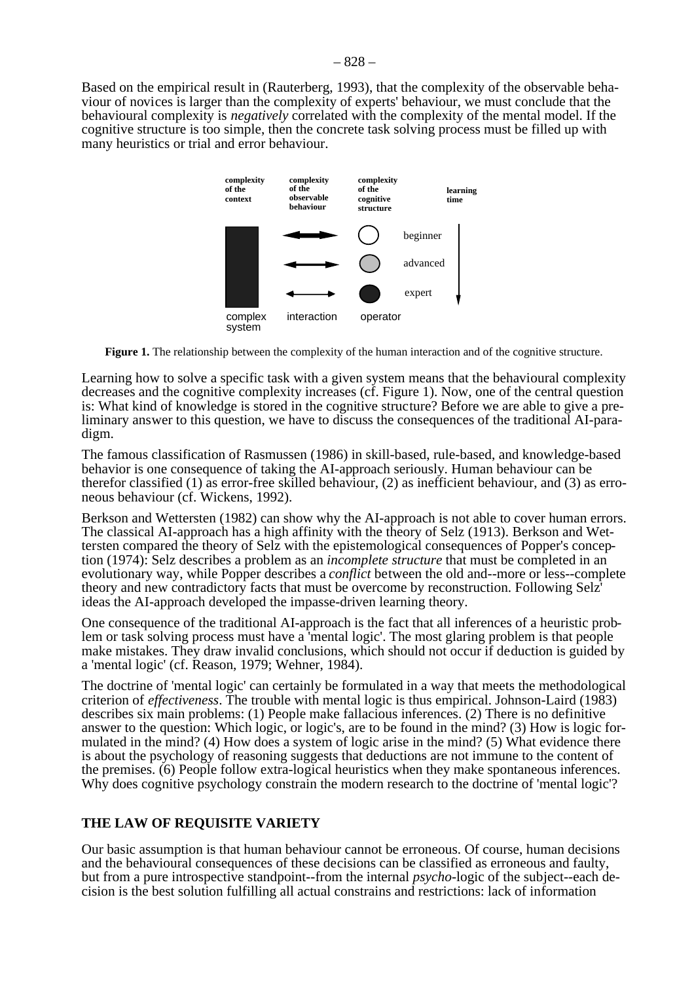Based on the empirical result in (Rauterberg, 1993), that the complexity of the observable behaviour of novices is larger than the complexity of experts' behaviour, we must conclude that the behavioural complexity is *negatively* correlated with the complexity of the mental model. If the cognitive structure is too simple, then the concrete task solving process must be filled up with many heuristics or trial and error behaviour.



**Figure 1.** The relationship between the complexity of the human interaction and of the cognitive structure.

Learning how to solve a specific task with a given system means that the behavioural complexity decreases and the cognitive complexity increases (cf. Figure 1). Now, one of the central question is: What kind of knowledge is stored in the cognitive structure? Before we are able to give a preliminary answer to this question, we have to discuss the consequences of the traditional AI-paradigm.

The famous classification of Rasmussen (1986) in skill-based, rule-based, and knowledge-based behavior is one consequence of taking the AI-approach seriously. Human behaviour can be therefor classified (1) as error-free skilled behaviour, (2) as inefficient behaviour, and (3) as erroneous behaviour (cf. Wickens, 1992).

Berkson and Wettersten (1982) can show why the AI-approach is not able to cover human errors. The classical AI-approach has a high affinity with the theory of Selz (1913). Berkson and Wettersten compared the theory of Selz with the epistemological consequences of Popper's conception (1974): Selz describes a problem as an *incomplete structure* that must be completed in an evolutionary way, while Popper describes a *conflict* between the old and--more or less--complete theory and new contradictory facts that must be overcome by reconstruction. Following Selz' ideas the AI-approach developed the impasse-driven learning theory.

One consequence of the traditional AI-approach is the fact that all inferences of a heuristic problem or task solving process must have a 'mental logic'. The most glaring problem is that people make mistakes. They draw invalid conclusions, which should not occur if deduction is guided by a 'mental logic' (cf. Reason, 1979; Wehner, 1984).

The doctrine of 'mental logic' can certainly be formulated in a way that meets the methodological criterion of *effectiveness*. The trouble with mental logic is thus empirical. Johnson-Laird (1983) describes six main problems: (1) People make fallacious inferences. (2) There is no definitive answer to the question: Which logic, or logic's, are to be found in the mind? (3) How is logic formulated in the mind? (4) How does a system of logic arise in the mind? (5) What evidence there is about the psychology of reasoning suggests that deductions are not immune to the content of the premises. (6) People follow extra-logical heuristics when they make spontaneous inferences. Why does cognitive psychology constrain the modern research to the doctrine of 'mental logic'?

# **THE LAW OF REQUISITE VARIETY**

Our basic assumption is that human behaviour cannot be erroneous. Of course, human decisions and the behavioural consequences of these decisions can be classified as erroneous and faulty, but from a pure introspective standpoint--from the internal *psycho-*logic of the subject--each decision is the best solution fulfilling all actual constrains and restrictions: lack of information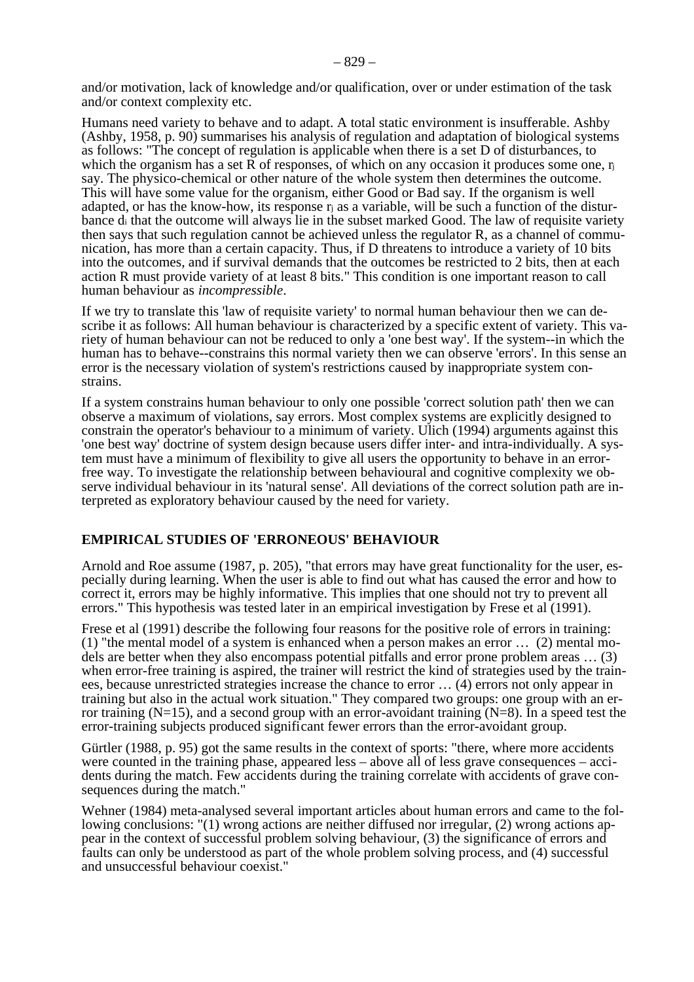and/or motivation, lack of knowledge and/or qualification, over or under estimation of the task and/or context complexity etc.

Humans need variety to behave and to adapt. A total static environment is insufferable. Ashby (Ashby, 1958, p. 90) summarises his analysis of regulation and adaptation of biological systems as follows: "The concept of regulation is applicable when there is a set D of disturbances, to which the organism has a set  $\overline{R}$  of responses, of which on any occasion it produces some one,  $r<sub>j</sub>$ say. The physico-chemical or other nature of the whole system then determines the outcome. This will have some value for the organism, either Good or Bad say. If the organism is well adapted, or has the know-how, its response r<sub>j</sub> as a variable, will be such a function of the disturbance di that the outcome will always lie in the subset marked Good. The law of requisite variety then says that such regulation cannot be achieved unless the regulator R, as a channel of communication, has more than a certain capacity. Thus, if D threatens to introduce a variety of 10 bits into the outcomes, and if survival demands that the outcomes be restricted to 2 bits, then at each action R must provide variety of at least 8 bits." This condition is one important reason to call human behaviour as *incompressible*.

If we try to translate this 'law of requisite variety' to normal human behaviour then we can describe it as follows: All human behaviour is characterized by a specific extent of variety. This variety of human behaviour can not be reduced to only a 'one best way'. If the system--in which the human has to behave--constrains this normal variety then we can observe 'errors'. In this sense an error is the necessary violation of system's restrictions caused by inappropriate system constrains.

If a system constrains human behaviour to only one possible 'correct solution path' then we can observe a maximum of violations, say errors. Most complex systems are explicitly designed to constrain the operator's behaviour to a minimum of variety. Ulich (1994) arguments against this 'one best way' doctrine of system design because users differ inter- and intra-individually. A system must have a minimum of flexibility to give all users the opportunity to behave in an errorfree way. To investigate the relationship between behavioural and cognitive complexity we observe individual behaviour in its 'natural sense'. All deviations of the correct solution path are interpreted as exploratory behaviour caused by the need for variety.

## **EMPIRICAL STUDIES OF 'ERRONEOUS' BEHAVIOUR**

Arnold and Roe assume (1987, p. 205), "that errors may have great functionality for the user, especially during learning. When the user is able to find out what has caused the error and how to correct it, errors may be highly informative. This implies that one should not try to prevent all errors." This hypothesis was tested later in an empirical investigation by Frese et al (1991).

Frese et al (1991) describe the following four reasons for the positive role of errors in training: (1) "the mental model of a system is enhanced when a person makes an error … (2) mental models are better when they also encompass potential pitfalls and error prone problem areas … (3) when error-free training is aspired, the trainer will restrict the kind of strategies used by the trainees, because unrestricted strategies increase the chance to error … (4) errors not only appear in training but also in the actual work situation." They compared two groups: one group with an error training  $(N=15)$ , and a second group with an error-avoidant training  $(N=8)$ . In a speed test the error-training subjects produced significant fewer errors than the error-avoidant group.

Gürtler (1988, p. 95) got the same results in the context of sports: "there, where more accidents were counted in the training phase, appeared less – above all of less grave consequences – accidents during the match. Few accidents during the training correlate with accidents of grave consequences during the match."

Wehner (1984) meta-analysed several important articles about human errors and came to the following conclusions: "(1) wrong actions are neither diffused nor irregular, (2) wrong actions appear in the context of successful problem solving behaviour, (3) the significance of errors and faults can only be understood as part of the whole problem solving process, and (4) successful and unsuccessful behaviour coexist."